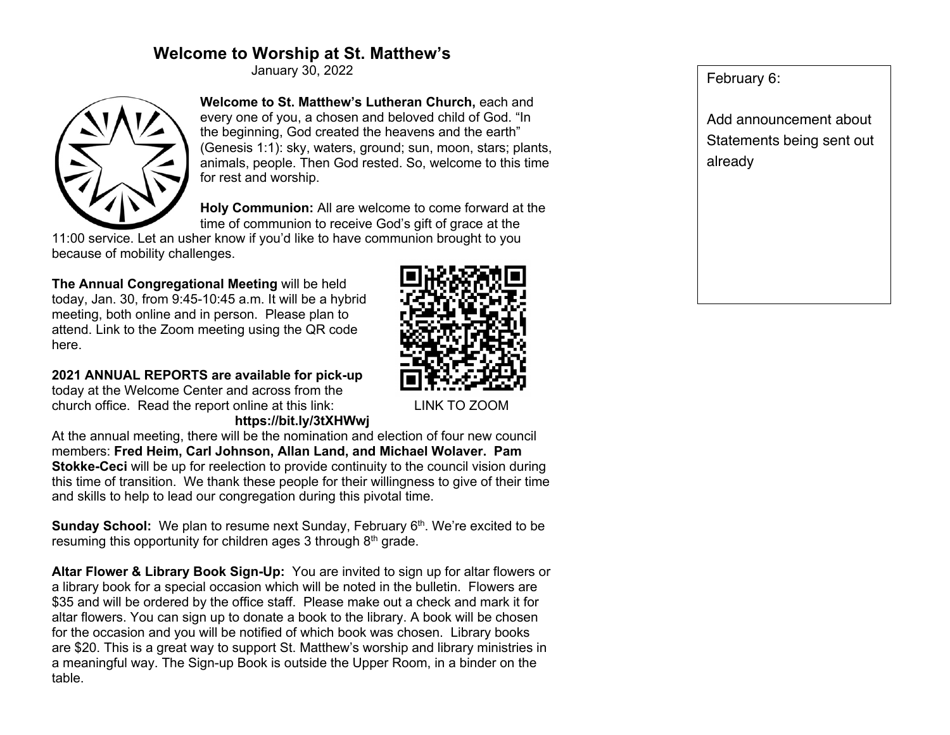# **Welcome to Worship at St. Matthew's**

January 30, 2022



**Welcome to St. Matthew's Lutheran Church,** each and every one of you, a chosen and beloved child of God. "In the beginning, God created the heavens and the earth" (Genesis 1:1): sky, waters, ground; sun, moon, stars; plants, animals, people. Then God rested. So, welcome to this time for rest and worship.

**Holy Communion:** All are welcome to come forward at the time of communion to receive God's gift of grace at the

11:00 service. Let an usher know if you'd like to have communion brought to you because of mobility challenges.

**The Annual Congregational Meeting** will be held today, Jan. 30, from 9:45-10:45 a.m. It will be a hybrid meeting, both online and in person. Please plan to attend. Link to the Zoom meeting using the QR code here.

**2021 ANNUAL REPORTS are available for pick-up**

today at the Welcome Center and across from the church office. Read the report online at this link: LINK TO ZOOM

## **https://bit.ly/3tXHWwj**



At the annual meeting, there will be the nomination and election of four new council members: **Fred Heim, Carl Johnson, Allan Land, and Michael Wolaver. Pam Stokke-Ceci** will be up for reelection to provide continuity to the council vision during this time of transition. We thank these people for their willingness to give of their time and skills to help to lead our congregation during this pivotal time.

**Sunday School:** We plan to resume next Sunday, February 6<sup>th</sup>. We're excited to be resuming this opportunity for children ages 3 through  $8<sup>th</sup>$  grade.

**Altar Flower & Library Book Sign-Up:** You are invited to sign up for altar flowers or a library book for a special occasion which will be noted in the bulletin. Flowers are \$35 and will be ordered by the office staff. Please make out a check and mark it for altar flowers. You can sign up to donate a book to the library. A book will be chosen for the occasion and you will be notified of which book was chosen. Library books are \$20. This is a great way to support St. Matthew's worship and library ministries in a meaningful way. The Sign-up Book is outside the Upper Room, in a binder on the table.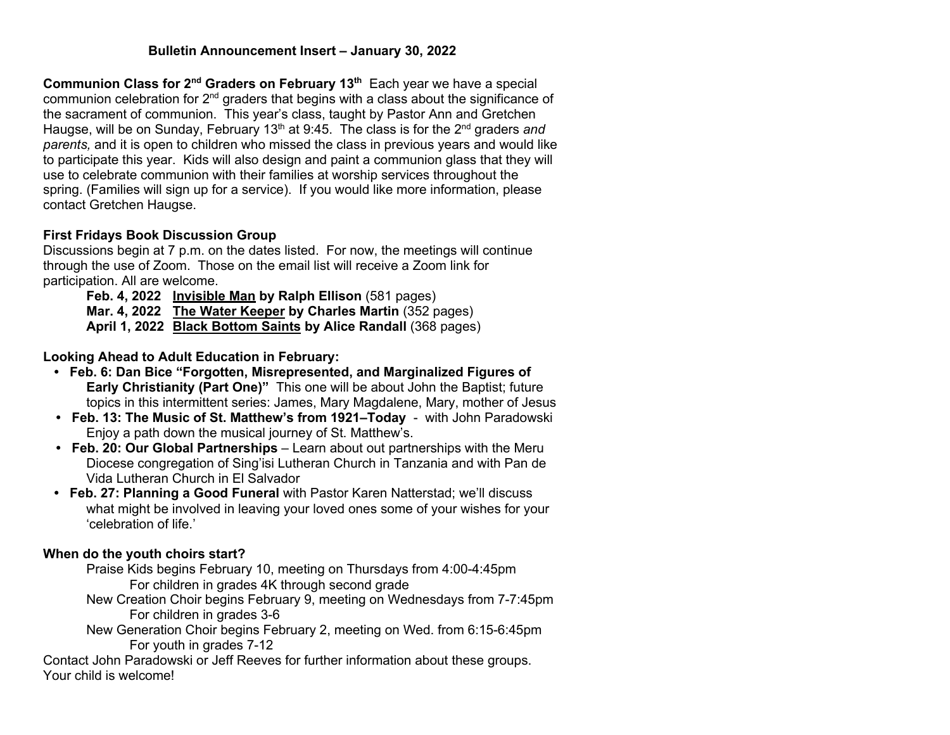# **Bulletin Announcement Insert – January 30, 2022**

**Communion Class for 2<sup>nd</sup> Graders on February 13<sup>th</sup> Each year we have a special** communion celebration for  $2<sup>nd</sup>$  graders that begins with a class about the significance of the sacrament of communion. This year's class, taught by Pastor Ann and Gretchen Haugse, will be on Sunday, February 13<sup>th</sup> at 9:45. The class is for the 2<sup>nd</sup> graders *and parents,* and it is open to children who missed the class in previous years and would like to participate this year. Kids will also design and paint a communion glass that they will use to celebrate communion with their families at worship services throughout the spring. (Families will sign up for a service).If you would like more information, please contact Gretchen Haugse.

# **First Fridays Book Discussion Group**

Discussions begin at 7 p.m. on the dates listed. For now, the meetings will continue through the use of Zoom. Those on the email list will receive a Zoom link for participation. All are welcome.

**Feb. 4, 2022 Invisible Man by Ralph Ellison** (581 pages)

**Mar. 4, 2022 The Water Keeper by Charles Martin** (352 pages)

**April 1, 2022 Black Bottom Saints by Alice Randall** (368 pages)

**Looking Ahead to Adult Education in February:**

- **Feb. 6: Dan Bice "Forgotten, Misrepresented, and Marginalized Figures of Early Christianity (Part One)"** This one will be about John the Baptist; future topics in this intermittent series: James, Mary Magdalene, Mary, mother of Jesus
- **Feb. 13: The Music of St. Matthew's from 1921–Today** with John Paradowski Enjoy a path down the musical journey of St. Matthew's.
- **Feb. 20: Our Global Partnerships** Learn about out partnerships with the Meru Diocese congregation of Sing'isi Lutheran Church in Tanzania and with Pan de Vida Lutheran Church in El Salvador
- **Feb. 27: Planning a Good Funeral** with Pastor Karen Natterstad; we'll discuss what might be involved in leaving your loved ones some of your wishes for your 'celebration of life.'

# **When do the youth choirs start?**

Praise Kids begins February 10, meeting on Thursdays from 4:00-4:45pm For children in grades 4K through second grade

- New Creation Choir begins February 9, meeting on Wednesdays from 7-7:45pm For children in grades 3-6
- New Generation Choir begins February 2, meeting on Wed. from 6:15-6:45pm For youth in grades 7-12

Contact John Paradowski or Jeff Reeves for further information about these groups. Your child is welcome!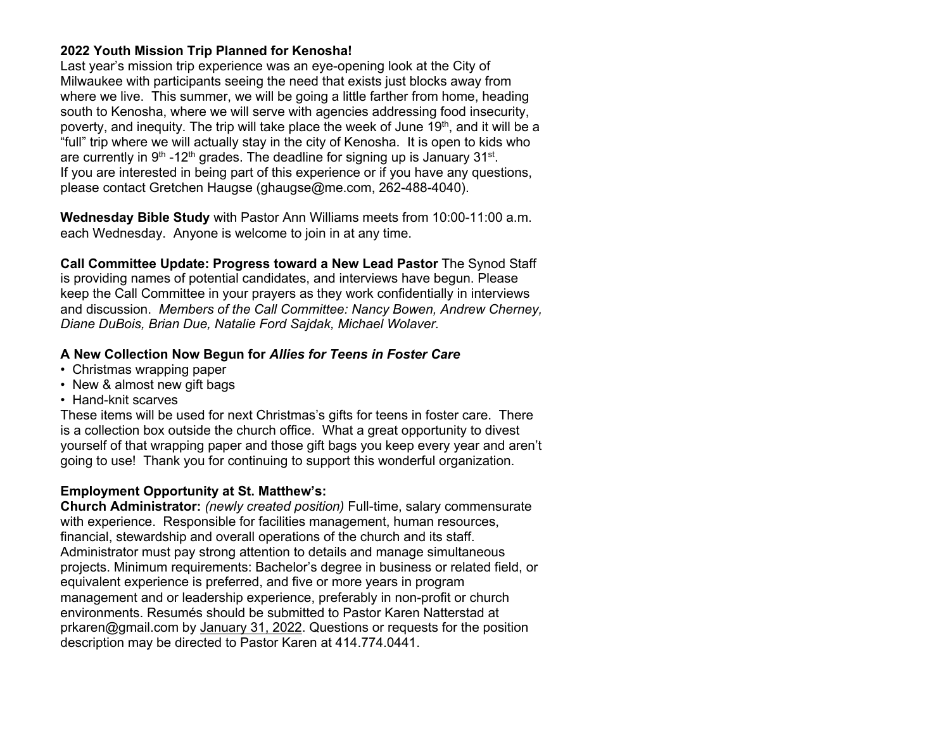## **2022 Youth Mission Trip Planned for Kenosha!**

Last year's mission trip experience was an eye-opening look at the City of Milwaukee with participants seeing the need that exists just blocks away from where we live. This summer, we will be going a little farther from home, heading south to Kenosha, where we will serve with agencies addressing food insecurity, poverty, and inequity. The trip will take place the week of June 19th, and it will be a "full" trip where we will actually stay in the city of Kenosha. It is open to kids who are currently in  $9<sup>th</sup> - 12<sup>th</sup>$  grades. The deadline for signing up is January 31<sup>st</sup>. If you are interested in being part of this experience or if you have any questions, please contact Gretchen Haugse (ghaugse@me.com, 262-488-4040).

**Wednesday Bible Study** with Pastor Ann Williams meets from 10:00-11:00 a.m. each Wednesday. Anyone is welcome to join in at any time.

**Call Committee Update: Progress toward a New Lead Pastor** The Synod Staff is providing names of potential candidates, and interviews have begun. Please keep the Call Committee in your prayers as they work confidentially in interviews and discussion. *Members of the Call Committee: Nancy Bowen, Andrew Cherney, Diane DuBois, Brian Due, Natalie Ford Sajdak, Michael Wolaver.*

#### **A New Collection Now Begun for** *Allies for Teens in Foster Care*

- Christmas wrapping paper
- New & almost new gift bags
- Hand-knit scarves

These items will be used for next Christmas's gifts for teens in foster care. There is a collection box outside the church office. What a great opportunity to divest yourself of that wrapping paper and those gift bags you keep every year and aren't going to use! Thank you for continuing to support this wonderful organization.

## **Employment Opportunity at St. Matthew's:**

**Church Administrator:** *(newly created position)* Full-time, salary commensurate with experience. Responsible for facilities management, human resources, financial, stewardship and overall operations of the church and its staff. Administrator must pay strong attention to details and manage simultaneous projects. Minimum requirements: Bachelor's degree in business or related field, or equivalent experience is preferred, and five or more years in program management and or leadership experience, preferably in non-profit or church environments. Resumés should be submitted to Pastor Karen Natterstad at prkaren@gmail.com by January 31, 2022. Questions or requests for the position description may be directed to Pastor Karen at 414.774.0441.